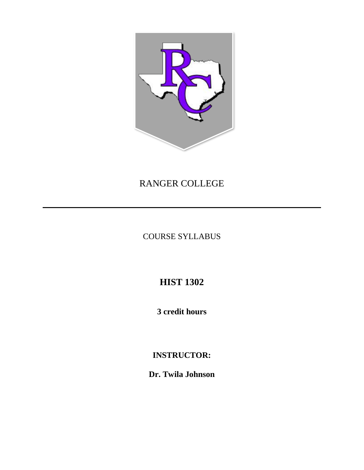

## RANGER COLLEGE

COURSE SYLLABUS

# **HIST 1302**

**3 credit hours**

## **INSTRUCTOR:**

**Dr. Twila Johnson**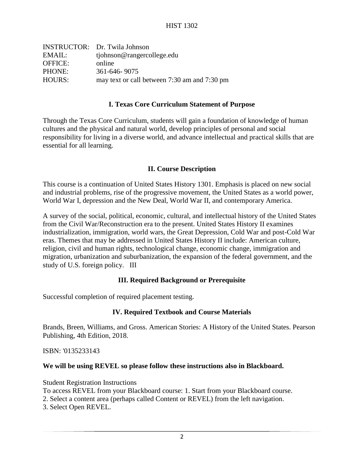| <b>INSTRUCTOR:</b> Dr. Twila Johnson         |
|----------------------------------------------|
| tiohnson@rangercollege.edu                   |
| online                                       |
| 361-646-9075                                 |
| may text or call between 7:30 am and 7:30 pm |
|                                              |

#### **I. Texas Core Curriculum Statement of Purpose**

Through the Texas Core Curriculum, students will gain a foundation of knowledge of human cultures and the physical and natural world, develop principles of personal and social responsibility for living in a diverse world, and advance intellectual and practical skills that are essential for all learning.

#### **II. Course Description**

This course is a continuation of United States History 1301. Emphasis is placed on new social and industrial problems, rise of the progressive movement, the United States as a world power, World War I, depression and the New Deal, World War II, and contemporary America.

A survey of the social, political, economic, cultural, and intellectual history of the United States from the Civil War/Reconstruction era to the present. United States History II examines industrialization, immigration, world wars, the Great Depression, Cold War and post-Cold War eras. Themes that may be addressed in United States History II include: American culture, religion, civil and human rights, technological change, economic change, immigration and migration, urbanization and suburbanization, the expansion of the federal government, and the study of U.S. foreign policy. III

#### **III. Required Background or Prerequisite**

Successful completion of required placement testing.

#### **IV. Required Textbook and Course Materials**

Brands, Breen, Williams, and Gross. American Stories: A History of the United States. Pearson Publishing, 4th Edition, 2018.

ISBN: '0135233143

#### **We will be using REVEL so please follow these instructions also in Blackboard.**

Student Registration Instructions To access REVEL from your Blackboard course: 1. Start from your Blackboard course. 2. Select a content area (perhaps called Content or REVEL) from the left navigation.

3. Select Open REVEL.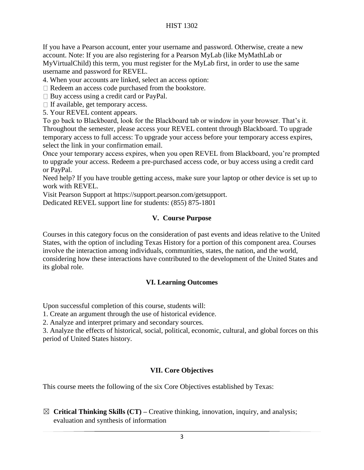If you have a Pearson account, enter your username and password. Otherwise, create a new account. Note: If you are also registering for a Pearson MyLab (like MyMathLab or MyVirtualChild) this term, you must register for the MyLab first, in order to use the same username and password for REVEL.

4. When your accounts are linked, select an access option:

Redeem an access code purchased from the bookstore.

 $\Box$  Buy access using a credit card or PayPal.

 $\Box$  If available, get temporary access.

5. Your REVEL content appears.

To go back to Blackboard, look for the Blackboard tab or window in your browser. That's it. Throughout the semester, please access your REVEL content through Blackboard. To upgrade temporary access to full access: To upgrade your access before your temporary access expires, select the link in your confirmation email.

Once your temporary access expires, when you open REVEL from Blackboard, you're prompted to upgrade your access. Redeem a pre-purchased access code, or buy access using a credit card or PayPal.

Need help? If you have trouble getting access, make sure your laptop or other device is set up to work with REVEL.

Visit Pearson Support at https://support.pearson.com/getsupport.

Dedicated REVEL support line for students: (855) 875-1801

#### **V. Course Purpose**

Courses in this category focus on the consideration of past events and ideas relative to the United States, with the option of including Texas History for a portion of this component area. Courses involve the interaction among individuals, communities, states, the nation, and the world, considering how these interactions have contributed to the development of the United States and its global role.

#### **VI. Learning Outcomes**

Upon successful completion of this course, students will:

1. Create an argument through the use of historical evidence.

2. Analyze and interpret primary and secondary sources.

3. Analyze the effects of historical, social, political, economic, cultural, and global forces on this period of United States history.

#### **VII. Core Objectives**

This course meets the following of the six Core Objectives established by Texas:

☒ **Critical Thinking Skills (CT) –** Creative thinking, innovation, inquiry, and analysis; evaluation and synthesis of information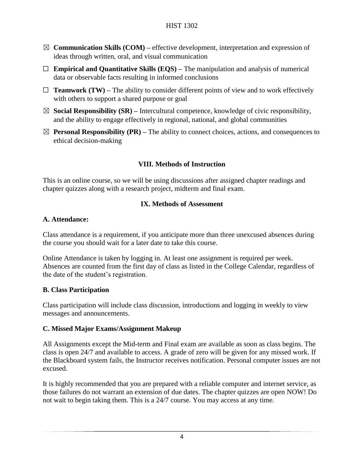- $\boxtimes$  **Communication Skills (COM)** effective development, interpretation and expression of ideas through written, oral, and visual communication
- ☐ **Empirical and Quantitative Skills (EQS) –** The manipulation and analysis of numerical data or observable facts resulting in informed conclusions
- $\Box$  **Teamwork (TW)** The ability to consider different points of view and to work effectively with others to support a shared purpose or goal
- $\boxtimes$  **Social Responsibility (SR)** Intercultural competence, knowledge of civic responsibility, and the ability to engage effectively in regional, national, and global communities
- $\boxtimes$  **Personal Responsibility (PR)** The ability to connect choices, actions, and consequences to ethical decision-making

## **VIII. Methods of Instruction**

This is an online course, so we will be using discussions after assigned chapter readings and chapter quizzes along with a research project, midterm and final exam.

### **IX. Methods of Assessment**

#### **A. Attendance:**

Class attendance is a requirement, if you anticipate more than three unexcused absences during the course you should wait for a later date to take this course.

Online Attendance is taken by logging in. At least one assignment is required per week. Absences are counted from the first day of class as listed in the College Calendar, regardless of the date of the student's registration.

#### **B. Class Participation**

Class participation will include class discussion, introductions and logging in weekly to view messages and announcements.

#### **C. Missed Major Exams/Assignment Makeup**

All Assignments except the Mid-term and Final exam are available as soon as class begins. The class is open 24/7 and available to access. A grade of zero will be given for any missed work. If the Blackboard system fails, the Instructor receives notification. Personal computer issues are not excused.

It is highly recommended that you are prepared with a reliable computer and internet service, as those failures do not warrant an extension of due dates. The chapter quizzes are open NOW! Do not wait to begin taking them. This is a 24/7 course. You may access at any time.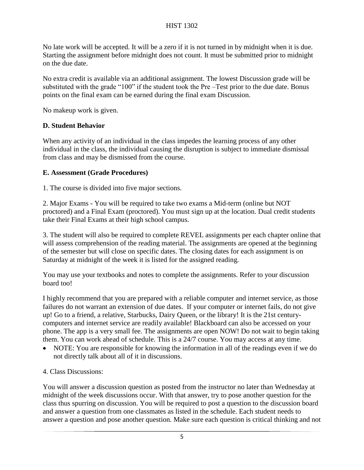No late work will be accepted. It will be a zero if it is not turned in by midnight when it is due. Starting the assignment before midnight does not count. It must be submitted prior to midnight on the due date.

No extra credit is available via an additional assignment. The lowest Discussion grade will be substituted with the grade "100" if the student took the Pre –Test prior to the due date. Bonus points on the final exam can be earned during the final exam Discussion.

No makeup work is given.

#### **D. Student Behavior**

When any activity of an individual in the class impedes the learning process of any other individual in the class, the individual causing the disruption is subject to immediate dismissal from class and may be dismissed from the course.

### **E. Assessment (Grade Procedures)**

1. The course is divided into five major sections.

2. Major Exams - You will be required to take two exams a Mid-term (online but NOT proctored) and a Final Exam (proctored). You must sign up at the location. Dual credit students take their Final Exams at their high school campus.

3. The student will also be required to complete REVEL assignments per each chapter online that will assess comprehension of the reading material. The assignments are opened at the beginning of the semester but will close on specific dates. The closing dates for each assignment is on Saturday at midnight of the week it is listed for the assigned reading.

You may use your textbooks and notes to complete the assignments. Refer to your discussion board too!

I highly recommend that you are prepared with a reliable computer and internet service, as those failures do not warrant an extension of due dates. If your computer or internet fails, do not give up! Go to a friend, a relative, Starbucks, Dairy Queen, or the library! It is the 21st centurycomputers and internet service are readily available! Blackboard can also be accessed on your phone. The app is a very small fee. The assignments are open NOW! Do not wait to begin taking them. You can work ahead of schedule. This is a 24/7 course. You may access at any time.

- NOTE: You are responsible for knowing the information in all of the readings even if we do not directly talk about all of it in discussions.
- 4. Class Discussions:

You will answer a discussion question as posted from the instructor no later than Wednesday at midnight of the week discussions occur. With that answer, try to pose another question for the class thus spurring on discussion. You will be required to post a question to the discussion board and answer a question from one classmates as listed in the schedule. Each student needs to answer a question and pose another question. Make sure each question is critical thinking and not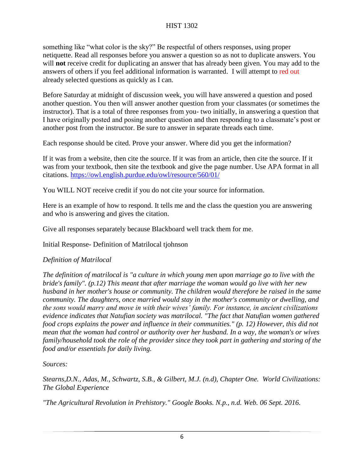something like "what color is the sky?" Be respectful of others responses, using proper netiquette. Read all responses before you answer a question so as not to duplicate answers. You will **not** receive credit for duplicating an answer that has already been given. You may add to the answers of others if you feel additional information is warranted. I will attempt to red out already selected questions as quickly as I can.

Before Saturday at midnight of discussion week, you will have answered a question and posed another question. You then will answer another question from your classmates (or sometimes the instructor). That is a total of three responses from you- two initially, in answering a question that I have originally posted and posing another question and then responding to a classmate's post or another post from the instructor. Be sure to answer in separate threads each time.

Each response should be cited. Prove your answer. Where did you get the information?

If it was from a website, then cite the source. If it was from an article, then cite the source. If it was from your textbook, then site the textbook and give the page number. Use APA format in all citations.<https://owl.english.purdue.edu/owl/resource/560/01/>

You WILL NOT receive credit if you do not cite your source for information.

Here is an example of how to respond. It tells me and the class the question you are answering and who is answering and gives the citation.

Give all responses separately because Blackboard well track them for me.

Initial Response- Definition of Matrilocal tjohnson

## *Definition of Matrilocal*

*The definition of matrilocal is "a culture in which young men upon marriage go to live with the bride's family". (p.12) This meant that after marriage the woman would go live with her new husband in her mother's house or community. The children would therefore be raised in the same community. The daughters, once married would stay in the mother's community or dwelling, and the sons would marry and move in with their wives' family. For instance, in ancient civilizations evidence indicates that Natufian society was matrilocal. "The fact that Natufian women gathered food crops explains the power and influence in their communities." (p. 12) However, this did not mean that the woman had control or authority over her husband. In a way, the woman's or wives family/household took the role of the provider since they took part in gathering and storing of the food and/or essentials for daily living.*

*Sources:*

*Stearns,D.N., Adas, M., Schwartz, S.B., & Gilbert, M.J. (n.d), Chapter One. World Civilizations: The Global Experience*

*"The Agricultural Revolution in Prehistory." Google Books. N.p., n.d. Web. 06 Sept. 2016.*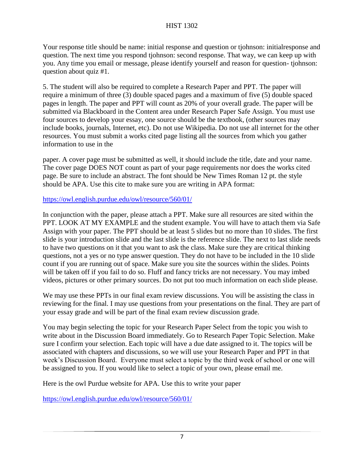Your response title should be name: initial response and question or tjohnson: initialresponse and question. The next time you respond tjohnson: second response. That way, we can keep up with you. Any time you email or message, please identify yourself and reason for question- tjohnson: question about quiz #1.

5. The student will also be required to complete a Research Paper and PPT. The paper will require a minimum of three (3) double spaced pages and a maximum of five (5) double spaced pages in length. The paper and PPT will count as 20% of your overall grade. The paper will be submitted via Blackboard in the Content area under Research Paper Safe Assign. You must use four sources to develop your essay, one source should be the textbook, (other sources may include books, journals, Internet, etc). Do not use Wikipedia. Do not use all internet for the other resources. You must submit a works cited page listing all the sources from which you gather information to use in the

paper. A cover page must be submitted as well, it should include the title, date and your name. The cover page DOES NOT count as part of your page requirements nor does the works cited page. Be sure to include an abstract. The font should be New Times Roman 12 pt. the style should be APA. Use this cite to make sure you are writing in APA format:

#### <https://owl.english.purdue.edu/owl/resource/560/01/>

In conjunction with the paper, please attach a PPT. Make sure all resources are sited within the PPT. LOOK AT MY EXAMPLE and the student example. You will have to attach them via Safe Assign with your paper. The PPT should be at least 5 slides but no more than 10 slides. The first slide is your introduction slide and the last slide is the reference slide. The next to last slide needs to have two questions on it that you want to ask the class. Make sure they are critical thinking questions, not a yes or no type answer question. They do not have to be included in the 10 slide count if you are running out of space. Make sure you site the sources within the slides. Points will be taken off if you fail to do so. Fluff and fancy tricks are not necessary. You may imbed videos, pictures or other primary sources. Do not put too much information on each slide please.

We may use these PPTs in our final exam review discussions. You will be assisting the class in reviewing for the final. I may use questions from your presentations on the final. They are part of your essay grade and will be part of the final exam review discussion grade.

You may begin selecting the topic for your Research Paper Select from the topic you wish to write about in the Discussion Board immediately. Go to Research Paper Topic Selection. Make sure I confirm your selection. Each topic will have a due date assigned to it. The topics will be associated with chapters and discussions, so we will use your Research Paper and PPT in that week's Discussion Board. Everyone must select a topic by the third week of school or one will be assigned to you. If you would like to select a topic of your own, please email me.

Here is the owl Purdue website for APA. Use this to write your paper

<https://owl.english.purdue.edu/owl/resource/560/01/>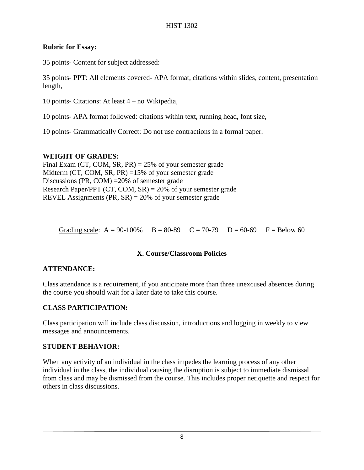#### **Rubric for Essay:**

35 points- Content for subject addressed:

35 points- PPT: All elements covered- APA format, citations within slides, content, presentation length,

10 points- Citations: At least 4 – no Wikipedia,

10 points- APA format followed: citations within text, running head, font size,

10 points- Grammatically Correct: Do not use contractions in a formal paper.

#### **WEIGHT OF GRADES:**

Final Exam (CT, COM, SR, PR) = 25% of your semester grade Midterm (CT, COM, SR, PR) =15% of your semester grade Discussions (PR, COM) =20% of semester grade Research Paper/PPT (CT, COM,  $SR$ ) = 20% of your semester grade REVEL Assignments  $(\text{PR}, \text{SR}) = 20\%$  of your semester grade

Grading scale:  $A = 90-100\%$  B = 80-89 C = 70-79 D = 60-69 F = Below 60

#### **X. Course/Classroom Policies**

#### **ATTENDANCE:**

Class attendance is a requirement, if you anticipate more than three unexcused absences during the course you should wait for a later date to take this course.

#### **CLASS PARTICIPATION:**

Class participation will include class discussion, introductions and logging in weekly to view messages and announcements.

#### **STUDENT BEHAVIOR:**

When any activity of an individual in the class impedes the learning process of any other individual in the class, the individual causing the disruption is subject to immediate dismissal from class and may be dismissed from the course. This includes proper netiquette and respect for others in class discussions.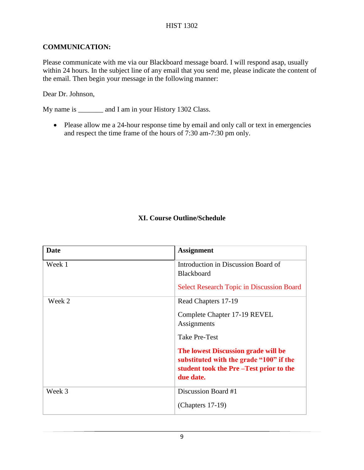### **COMMUNICATION:**

Please communicate with me via our Blackboard message board. I will respond asap, usually within 24 hours. In the subject line of any email that you send me, please indicate the content of the email. Then begin your message in the following manner:

Dear Dr. Johnson,

My name is \_\_\_\_\_\_\_\_ and I am in your History 1302 Class.

• Please allow me a 24-hour response time by email and only call or text in emergencies and respect the time frame of the hours of 7:30 am-7:30 pm only.

## **XI. Course Outline/Schedule**

| Date   | <b>Assignment</b>                                                                                                                     |
|--------|---------------------------------------------------------------------------------------------------------------------------------------|
| Week 1 | Introduction in Discussion Board of<br><b>Blackboard</b>                                                                              |
|        | <b>Select Research Topic in Discussion Board</b>                                                                                      |
| Week 2 | Read Chapters 17-19                                                                                                                   |
|        | Complete Chapter 17-19 REVEL<br>Assignments                                                                                           |
|        | Take Pre-Test                                                                                                                         |
|        | The lowest Discussion grade will be<br>substituted with the grade "100" if the<br>student took the Pre-Test prior to the<br>due date. |
| Week 3 | Discussion Board #1                                                                                                                   |
|        | (Chapters $17-19$ )                                                                                                                   |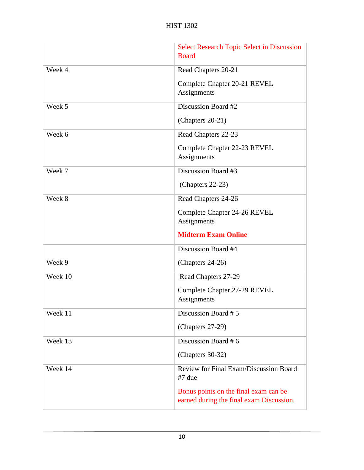|         | <b>Select Research Topic Select in Discussion</b><br><b>Board</b> |
|---------|-------------------------------------------------------------------|
| Week 4  | Read Chapters 20-21                                               |
|         | Complete Chapter 20-21 REVEL                                      |
|         | Assignments                                                       |
| Week 5  | Discussion Board #2                                               |
|         | (Chapters 20-21)                                                  |
| Week 6  | Read Chapters 22-23                                               |
|         | Complete Chapter 22-23 REVEL<br>Assignments                       |
| Week 7  | Discussion Board #3                                               |
|         | (Chapters 22-23)                                                  |
| Week 8  | Read Chapters 24-26                                               |
|         | Complete Chapter 24-26 REVEL<br>Assignments                       |
|         |                                                                   |
|         | <b>Midterm Exam Online</b>                                        |
|         | Discussion Board #4                                               |
| Week 9  | (Chapters 24-26)                                                  |
| Week 10 | Read Chapters 27-29                                               |
|         | Complete Chapter 27-29 REVEL<br>Assignments                       |
| Week 11 | Discussion Board #5                                               |
|         | (Chapters 27-29)                                                  |
| Week 13 | Discussion Board #6                                               |
|         | (Chapters 30-32)                                                  |
| Week 14 | Review for Final Exam/Discussion Board<br>#7 due                  |